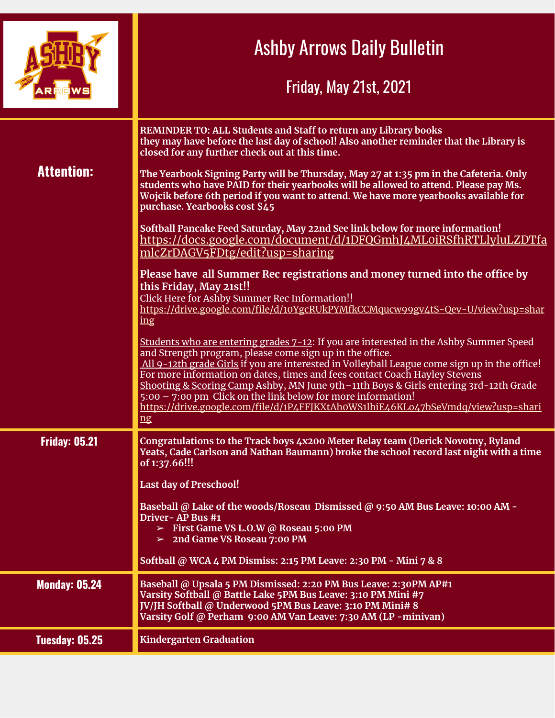|                      | <b>Ashby Arrows Daily Bulletin</b><br><b>Friday, May 21st, 2021</b>                                                                                                                                                                                                                                                                                                                                                                                                                                                                                                                    |
|----------------------|----------------------------------------------------------------------------------------------------------------------------------------------------------------------------------------------------------------------------------------------------------------------------------------------------------------------------------------------------------------------------------------------------------------------------------------------------------------------------------------------------------------------------------------------------------------------------------------|
| <b>Attention:</b>    | REMINDER TO: ALL Students and Staff to return any Library books<br>they may have before the last day of school! Also another reminder that the Library is<br>closed for any further check out at this time.<br>The Yearbook Signing Party will be Thursday, May 27 at 1:35 pm in the Cafeteria. Only<br>students who have PAID for their yearbooks will be allowed to attend. Please pay Ms.<br>Wojcik before 6th period if you want to attend. We have more yearbooks available for                                                                                                   |
|                      | purchase. Yearbooks cost \$45<br>Softball Pancake Feed Saturday, May 22nd See link below for more information!<br>https://docs.google.com/document/d/1DFQGmhJ4ML0iRSfhRTLlyluLZDTfa<br>mlcZrDAGV5FDtg/edit?usp=sharing                                                                                                                                                                                                                                                                                                                                                                 |
|                      | Please have all Summer Rec registrations and money turned into the office by<br>this Friday, May 21st!!<br>Click Here for Ashby Summer Rec Information!!<br>https://drive.google.com/file/d/10YgcRUkPYMfkCCMqucw99gv4tS-Qev-U/view?usp=shar<br>ling                                                                                                                                                                                                                                                                                                                                    |
|                      | Students who are entering grades 7-12: If you are interested in the Ashby Summer Speed<br>and Strength program, please come sign up in the office.<br>All 9-12th grade Girls if you are interested in Volleyball League come sign up in the office!<br>For more information on dates, times and fees contact Coach Hayley Stevens<br>Shooting & Scoring Camp Ashby, MN June 9th-11th Boys & Girls entering 3rd-12th Grade<br>$5:00 - 7:00$ pm Click on the link below for more information!<br>https://drive.google.com/file/d/1P4FFJKXtAhoWS1lhiE46KLo47bSeVmdq/view?usp=shari<br> ng |
| <b>Friday: 05.21</b> | Congratulations to the Track boys 4x200 Meter Relay team (Derick Novotny, Ryland<br>Yeats, Cade Carlson and Nathan Baumann) broke the school record last night with a time<br>of 1:37.66!!!                                                                                                                                                                                                                                                                                                                                                                                            |
|                      | Last day of Preschool!<br>Baseball @ Lake of the woods/Roseau Dismissed @ 9:50 AM Bus Leave: 10:00 AM -<br>Driver - AP Bus #1<br>$\triangleright$ First Game VS L.O.W @ Roseau 5:00 PM<br>$>$ 2nd Game VS Roseau 7:00 PM<br>Softball @ WCA 4 PM Dismiss: 2:15 PM Leave: 2:30 PM - Mini 7 & 8                                                                                                                                                                                                                                                                                           |
| <b>Monday: 05.24</b> | Baseball @ Upsala 5 PM Dismissed: 2:20 PM Bus Leave: 2:30PM AP#1<br>Varsity Softball @ Battle Lake 5PM Bus Leave: 3:10 PM Mini #7<br>JV/JH Softball @ Underwood 5PM Bus Leave: 3:10 PM Mini# 8<br>Varsity Golf @ Perham 9:00 AM Van Leave: 7:30 AM (LP -minivan)                                                                                                                                                                                                                                                                                                                       |
| Tuesday: 05.25       | <b>Kindergarten Graduation</b>                                                                                                                                                                                                                                                                                                                                                                                                                                                                                                                                                         |